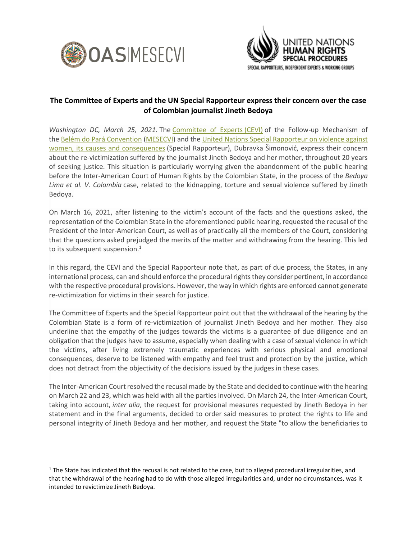



## **The Committee of Experts and the UN Special Rapporteur express their concern over the case of Colombian journalist Jineth Bedoya**

*Washington DC, March 25, 2021.* The *[Committee of Experts](http://www.oas.org/en/mesecvi/Experts.asp) (CEVI)* of the Follow-up Mechanism of the [Belém do Pará Convention](https://mail.oas.org/owa/redir.aspx?C=40ffd262e68249c596170aeb4cadf5da&URL=http%3a%2f%2fwww.oas.org%2fen%2fmesecvi%2fdocs%2fBelemDoPara-ENGLISH.pdf) [\(MESECVI\)](https://mail.oas.org/owa/redir.aspx?C=40ffd262e68249c596170aeb4cadf5da&URL=http%3a%2f%2fwww.oas.org%2fen%2fmesecvi%2fprocess.asp) and the [United Nations Special Rapporteur on violence against](https://www.ohchr.org/EN/Issues/Women/SRWomen/Pages/SRWomenIndex.aspx)  [women, its causes and consequences](https://www.ohchr.org/EN/Issues/Women/SRWomen/Pages/SRWomenIndex.aspx) (Special Rapporteur), Dubravka Šimonović, express their concern about the re-victimization suffered by the journalist Jineth Bedoya and her mother, throughout 20 years of seeking justice. This situation is particularly worrying given the abandonment of the public hearing before the Inter-American Court of Human Rights by the Colombian State, in the process of the *Bedoya Lima et al. V. Colombia* case, related to the kidnapping, torture and sexual violence suffered by Jineth Bedoya.

On March 16, 2021, after listening to the victim's account of the facts and the questions asked, the representation of the Colombian State in the aforementioned public hearing, requested the recusal of the President of the Inter-American Court, as well as of practically all the members of the Court, considering that the questions asked prejudged the merits of the matter and withdrawing from the hearing. This led to its subsequent suspension.<sup>1</sup>

In this regard, the CEVI and the Special Rapporteur note that, as part of due process, the States, in any international process, can and should enforce the procedural rights they consider pertinent, in accordance with the respective procedural provisions. However, the way in which rights are enforced cannot generate re-victimization for victims in their search for justice.

The Committee of Experts and the Special Rapporteur point out that the withdrawal of the hearing by the Colombian State is a form of re-victimization of journalist Jineth Bedoya and her mother. They also underline that the empathy of the judges towards the victims is a guarantee of due diligence and an obligation that the judges have to assume, especially when dealing with a case of sexual violence in which the victims, after living extremely traumatic experiences with serious physical and emotional consequences, deserve to be listened with empathy and feel trust and protection by the justice, which does not detract from the objectivity of the decisions issued by the judges in these cases.

The Inter-American Court resolved the recusal made by the State and decided to continue with the hearing on March 22 and 23, which was held with all the parties involved. On March 24, the Inter-American Court, taking into account, *inter alia*, the request for provisional measures requested by Jineth Bedoya in her statement and in the final arguments, decided to order said measures to protect the rights to life and personal integrity of Jineth Bedoya and her mother, and request the State "to allow the beneficiaries to

 $1$  The State has indicated that the recusal is not related to the case, but to alleged procedural irregularities, and that the withdrawal of the hearing had to do with those alleged irregularities and, under no circumstances, was it intended to revictimize Jineth Bedoya.